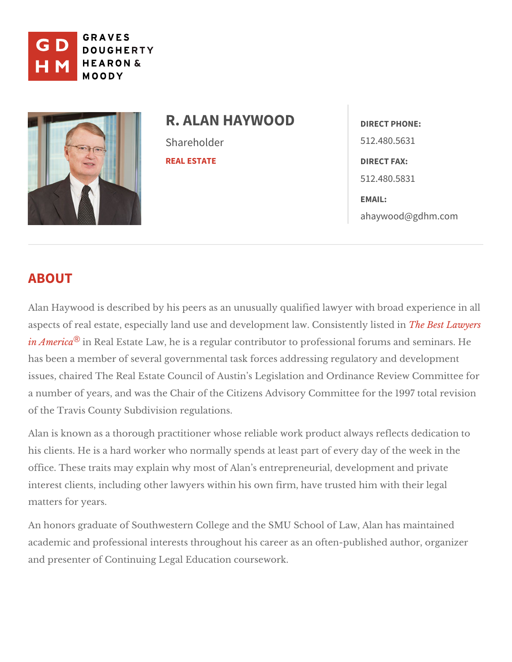

## R. ALAN HAYWOODDRECT PHONE: Shareholder [REAL ES](https://www.gdhm.com/practice-areas/real-estate/)TATE 512.480.5631 DIRECT FAX: 512.480.5831 EMAIL:

[ahaywood@gd](mailto:ahaywood@gdhm.com)hm.com

# ABOUT

Alan Haywood is described by his peers as an unusually qualified lawyer with aspects of real estate, especially land use and development **Tane. ECeosnt slinative yie i**n in Ame<sup>rg</sup>ician Real Estate Law, he is a regular contributor to professional forum has been a member of several governmental task forces addressing regulator issues, chaired The Real Estate Council of Austin s Legislation and Ordinanc a number of years, and was the Chair of the Citizens Advisory Committee for of the Travis CoSunted vision regulations.

Alan is known as a thorough practitioner whose reliable work product always his clients. He is a hard worker who normally spends at least part of every d office. These traits may explain why most of Alan s entrepreneurial, developi interest clients, including other lawyers within his own firm, have trusted hir matterfoor years.

An honors graduate of Southwestern College and the SMU School of Law, Ala academic and professional interests throughout his career as an often-publis and presenter of Continuingubagiaoln coursework.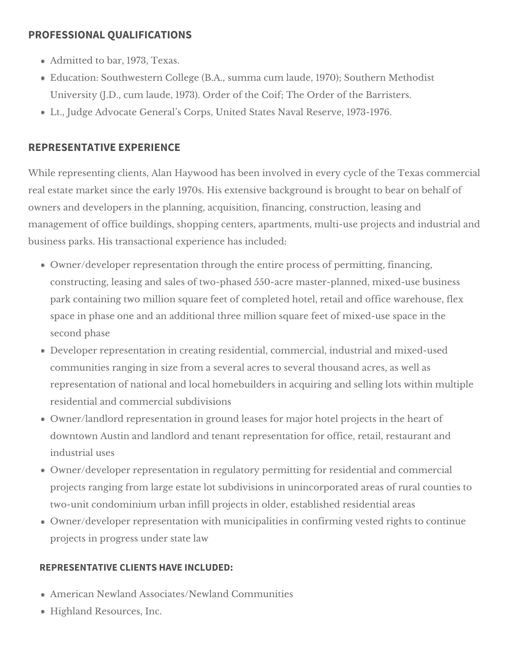### **PROFESSIONAL QUALIFICATIONS**

- Admitted to bar, 1973, Texas.
- Education: Southwestern College (B.A., summa cum laude, 1970); Southern Methodist University (J.D., cum laude, 1973). Order of the Coif; The Order of the Barristers.
- Lt., Judge Advocate General's Corps, United States Naval Reserve, 1973-1976.

### **REPRESENTATIVE EXPERIENCE**

While representing clients, Alan Haywood has been involved in every cycle of the Texas commercial real estate market since the early 1970s. His extensive background is brought to bear on behalf of owners and developers in the planning, acquisition, financing, construction, leasing and management of office buildings, shopping centers, apartments, multi-use projects and industrial and business parks. His transactional experience has included:

- Owner/developer representation through the entire process of permitting, financing, constructing, leasing and sales of two-phased 550-acre master-planned, mixed-use business park containing two million square feet of completed hotel, retail and office warehouse, flex space in phase one and an additional three million square feet of mixed-use space in the second phase
- Developer representation in creating residential, commercial, industrial and mixed-used communities ranging in size from a several acres to several thousand acres, as well as representation of national and local homebuilders in acquiring and selling lots within multiple residential and commercial subdivisions
- Owner/landlord representation in ground leases for major hotel projects in the heart of downtown Austin and landlord and tenant representation for office, retail, restaurant and industrial uses
- Owner/developer representation in regulatory permitting for residential and commercial projects ranging from large estate lot subdivisions in unincorporated areas of rural counties to two-unit condominium urban infill projects in older, established residential areas
- Owner/developer representation with municipalities in confirming vested rights to continue projects in progress under state law

### **REPRESENTATIVE CLIENTS HAVE INCLUDED:**

- American Newland Associates/Newland Communities
- Highland Resources, Inc.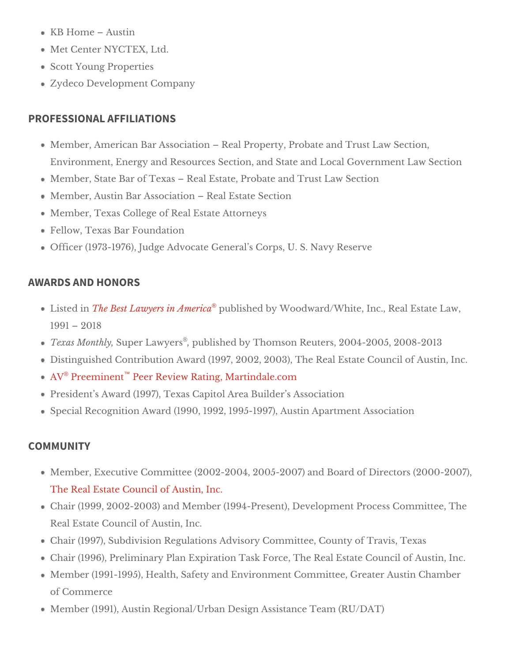KB Home Austin Met Center NYCTEX, Ltd. Scott Young Properties Zydeco Development Company

#### PROFESSIONAL AFFILIATIONS

Member, American Bar Association Real Property, Probate and Trust Law Environment, Energy and Resources Section, and State ahd w. Sceachtion overning Member, State Bar of Texas Real Estate, PLrambaSsection Trust Member, Austin Bar AssociatEcontateReSenection Member, Texas College Est a Realttorneys Fellow, Texas Bar Foundation Officer (1973-1976), Judge Advocate GeneNraavlys RCeosreprsv, e U. S.

#### AWARDS AND HONORS

Listed[The Best Lawyers i](http://www.bestlawyers.com/search/firmProfile.aspx?firm_ID=15257&country=US)n Aumbeist based by Woodward/White, Inc., Real Estate 1991 2018 Texas Monthulper Lawyepublished by Thomson R2e000t4e+28005, 2008-2013 Distinguished Contribution Award (1997, 2002, 2003), The Ruestlin Estate Co  $A\mathcal{V}$  Preemin<sup>t</sup>  $nR$  eer Review Rating, Martindale.com President s Award (1997),  $T$ exas B  $G$  and  $\alpha$  and  $\alpha$  and  $\alpha$  and  $\alpha$  and  $\alpha$ Special Recognition Award (1990, 1992, 1995art Mont, A Asussotcination

#### COMMUNITY

Member, Executive Committee (2002-2004, 2005-2007) and Board of Direc [The Real Estate Council of](http://www.recaonline.com/) Austin, Inc.

Chair (1999, 2002-2003) and Member (1994-Present), Development Proces Real Estate Countainstion, Inc.

Chair (1997), Subdivision Regulations Advisory Commitantitise, e, TeCxcausnty of Chair (1996), Preliminary Plan Expiration Task Force, The ARussain Estmecte Co Member (1991-1995), Health, Safety and Environment Committee, Greater of Commerce

Member (1991), Austin Regional/Urban DeTsegamm A (SRSU silDaAnTc)e